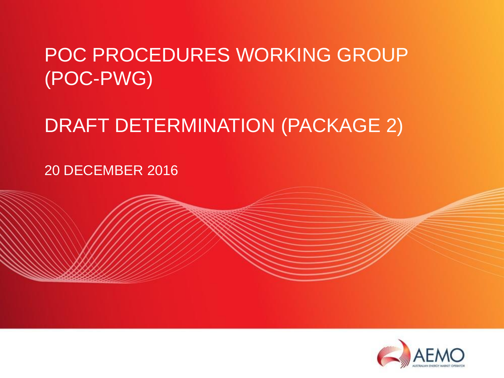## POC PROCEDURES WORKING GROUP (POC-PWG)

## DRAFT DETERMINATION (PACKAGE 2)

20 DECEMBER 2016

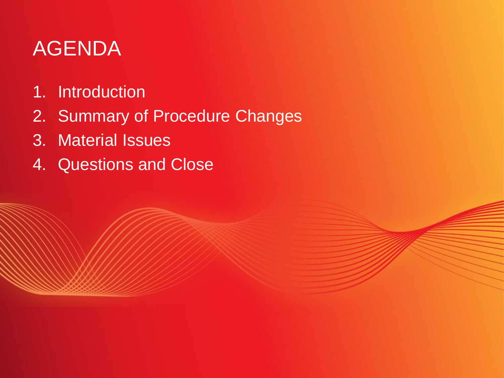# AGENDA

- 1. Introduction
- 2. Summary of Procedure Changes
- 3. Material Issues
- 4. Questions and Close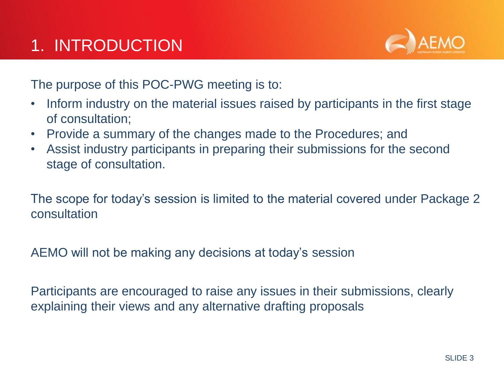

The purpose of this POC-PWG meeting is to:

- Inform industry on the material issues raised by participants in the first stage of consultation;
- Provide a summary of the changes made to the Procedures; and
- Assist industry participants in preparing their submissions for the second stage of consultation.

The scope for today's session is limited to the material covered under Package 2 consultation

AEMO will not be making any decisions at today's session

Participants are encouraged to raise any issues in their submissions, clearly explaining their views and any alternative drafting proposals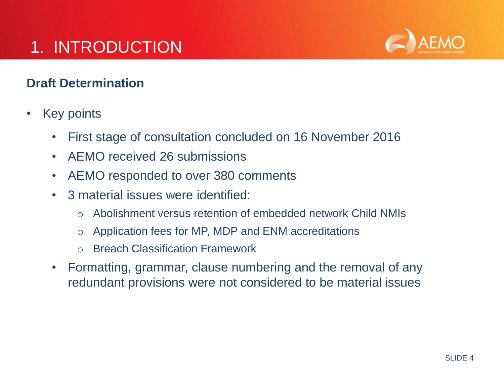## 1. INTRODUCTION



### **Draft Determination**

- **Key points** 
	- First stage of consultation concluded on 16 November 2016
	- AEMO received 26 submissions
	- AEMO responded to over 380 comments
	- 3 material issues were identified:
		- o Abolishment versus retention of embedded network Child NMIs
		- o Application fees for MP, MDP and ENM accreditations
		- o Breach Classification Framework
	- Formatting, grammar, clause numbering and the removal of any redundant provisions were not considered to be material issues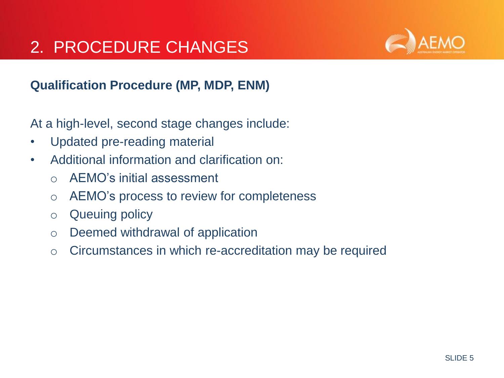### 2. PROCEDURE CHANGES



### **Qualification Procedure (MP, MDP, ENM)**

- Updated pre-reading material
- Additional information and clarification on:
	- o AEMO's initial assessment
	- o AEMO's process to review for completeness
	- o Queuing policy
	- o Deemed withdrawal of application
	- o Circumstances in which re-accreditation may be required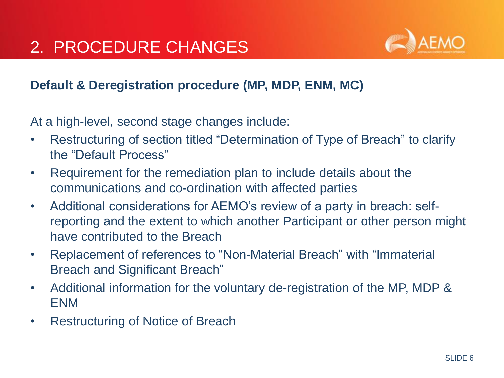

### **Default & Deregistration procedure (MP, MDP, ENM, MC)**

- Restructuring of section titled "Determination of Type of Breach" to clarify the "Default Process"
- Requirement for the remediation plan to include details about the communications and co-ordination with affected parties
- Additional considerations for AEMO's review of a party in breach: selfreporting and the extent to which another Participant or other person might have contributed to the Breach
- Replacement of references to "Non-Material Breach" with "Immaterial Breach and Significant Breach"
- Additional information for the voluntary de-registration of the MP, MDP & ENM
- Restructuring of Notice of Breach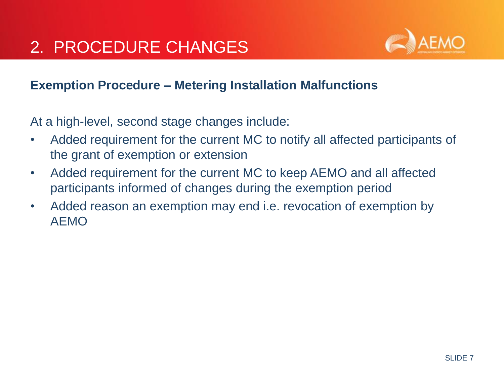

#### **Exemption Procedure – Metering Installation Malfunctions**

- Added requirement for the current MC to notify all affected participants of the grant of exemption or extension
- Added requirement for the current MC to keep AEMO and all affected participants informed of changes during the exemption period
- Added reason an exemption may end i.e. revocation of exemption by AEMO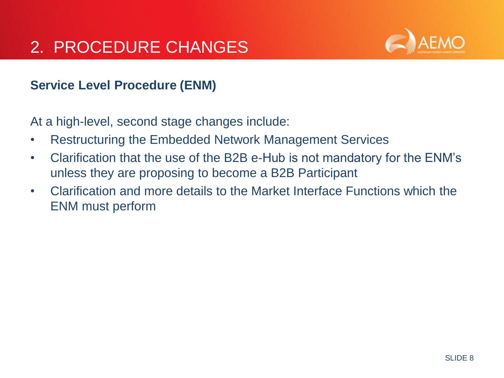### 2. PROCEDURE CHANGES



#### **Service Level Procedure (ENM)**

- Restructuring the Embedded Network Management Services
- Clarification that the use of the B2B e-Hub is not mandatory for the ENM's unless they are proposing to become a B2B Participant
- Clarification and more details to the Market Interface Functions which the ENM must perform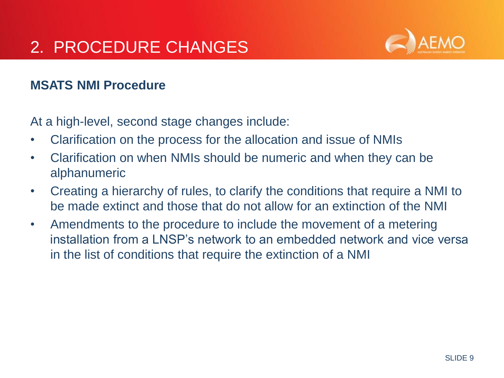

#### **MSATS NMI Procedure**

- Clarification on the process for the allocation and issue of NMIs
- Clarification on when NMIs should be numeric and when they can be alphanumeric
- Creating a hierarchy of rules, to clarify the conditions that require a NMI to be made extinct and those that do not allow for an extinction of the NMI
- Amendments to the procedure to include the movement of a metering installation from a LNSP's network to an embedded network and vice versa in the list of conditions that require the extinction of a NMI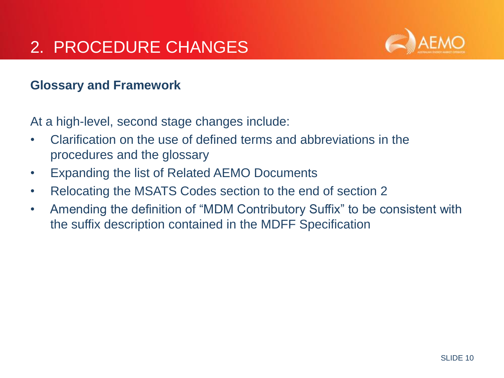

#### **Glossary and Framework**

- Clarification on the use of defined terms and abbreviations in the procedures and the glossary
- Expanding the list of Related AEMO Documents
- Relocating the MSATS Codes section to the end of section 2
- Amending the definition of "MDM Contributory Suffix" to be consistent with the suffix description contained in the MDFF Specification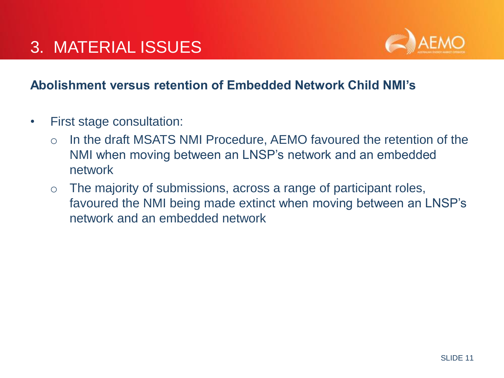

#### **Abolishment versus retention of Embedded Network Child NMI's**

- First stage consultation:
	- o In the draft MSATS NMI Procedure, AEMO favoured the retention of the NMI when moving between an LNSP's network and an embedded network
	- o The majority of submissions, across a range of participant roles, favoured the NMI being made extinct when moving between an LNSP's network and an embedded network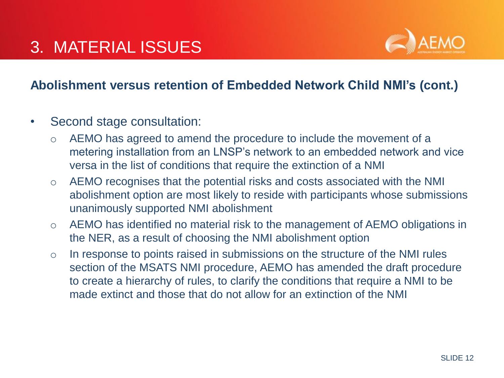

#### **Abolishment versus retention of Embedded Network Child NMI's (cont.)**

- Second stage consultation:
	- o AEMO has agreed to amend the procedure to include the movement of a metering installation from an LNSP's network to an embedded network and vice versa in the list of conditions that require the extinction of a NMI
	- o AEMO recognises that the potential risks and costs associated with the NMI abolishment option are most likely to reside with participants whose submissions unanimously supported NMI abolishment
	- o AEMO has identified no material risk to the management of AEMO obligations in the NER, as a result of choosing the NMI abolishment option
	- o In response to points raised in submissions on the structure of the NMI rules section of the MSATS NMI procedure, AEMO has amended the draft procedure to create a hierarchy of rules, to clarify the conditions that require a NMI to be made extinct and those that do not allow for an extinction of the NMI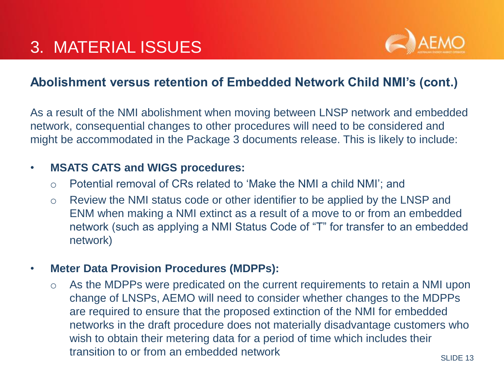

#### **Abolishment versus retention of Embedded Network Child NMI's (cont.)**

As a result of the NMI abolishment when moving between LNSP network and embedded network, consequential changes to other procedures will need to be considered and might be accommodated in the Package 3 documents release. This is likely to include:

#### • **MSATS CATS and WIGS procedures:**

- o Potential removal of CRs related to 'Make the NMI a child NMI'; and
- o Review the NMI status code or other identifier to be applied by the LNSP and ENM when making a NMI extinct as a result of a move to or from an embedded network (such as applying a NMI Status Code of "T" for transfer to an embedded network)

#### • **Meter Data Provision Procedures (MDPPs):**

o As the MDPPs were predicated on the current requirements to retain a NMI upon change of LNSPs, AEMO will need to consider whether changes to the MDPPs are required to ensure that the proposed extinction of the NMI for embedded networks in the draft procedure does not materially disadvantage customers who wish to obtain their metering data for a period of time which includes their transition to or from an embedded network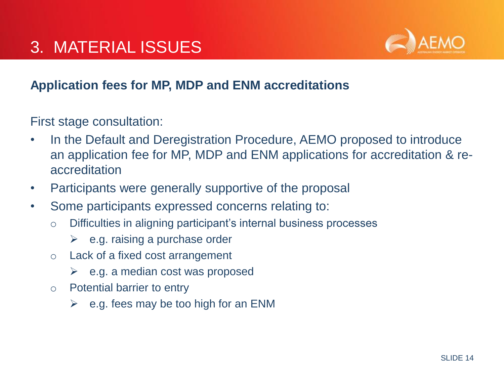

### **Application fees for MP, MDP and ENM accreditations**

First stage consultation:

- In the Default and Deregistration Procedure, AEMO proposed to introduce an application fee for MP, MDP and ENM applications for accreditation & reaccreditation
- Participants were generally supportive of the proposal
- Some participants expressed concerns relating to:
	- o Difficulties in aligning participant's internal business processes
		- $\triangleright$  e.g. raising a purchase order
	- o Lack of a fixed cost arrangement
		- $\triangleright$  e.g. a median cost was proposed
	- o Potential barrier to entry
		- $\triangleright$  e.g. fees may be too high for an ENM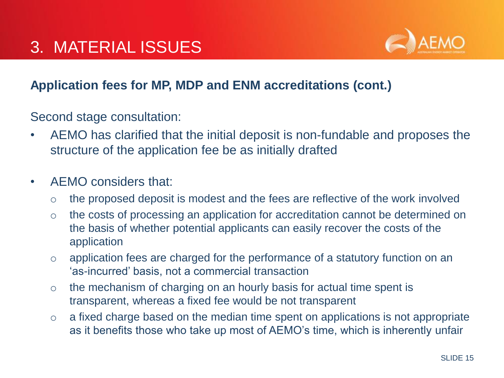

### **Application fees for MP, MDP and ENM accreditations (cont.)**

Second stage consultation:

- AEMO has clarified that the initial deposit is non-fundable and proposes the structure of the application fee be as initially drafted
- AEMO considers that:
	- o the proposed deposit is modest and the fees are reflective of the work involved
	- o the costs of processing an application for accreditation cannot be determined on the basis of whether potential applicants can easily recover the costs of the application
	- o application fees are charged for the performance of a statutory function on an 'as-incurred' basis, not a commercial transaction
	- $\circ$  the mechanism of charging on an hourly basis for actual time spent is transparent, whereas a fixed fee would be not transparent
	- o a fixed charge based on the median time spent on applications is not appropriate as it benefits those who take up most of AEMO's time, which is inherently unfair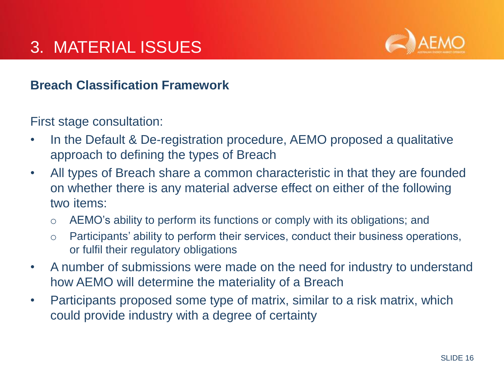

#### **Breach Classification Framework**

First stage consultation:

- In the Default & De-registration procedure, AEMO proposed a qualitative approach to defining the types of Breach
- All types of Breach share a common characteristic in that they are founded on whether there is any material adverse effect on either of the following two items:
	- o AEMO's ability to perform its functions or comply with its obligations; and
	- o Participants' ability to perform their services, conduct their business operations, or fulfil their regulatory obligations
- A number of submissions were made on the need for industry to understand how AEMO will determine the materiality of a Breach
- Participants proposed some type of matrix, similar to a risk matrix, which could provide industry with a degree of certainty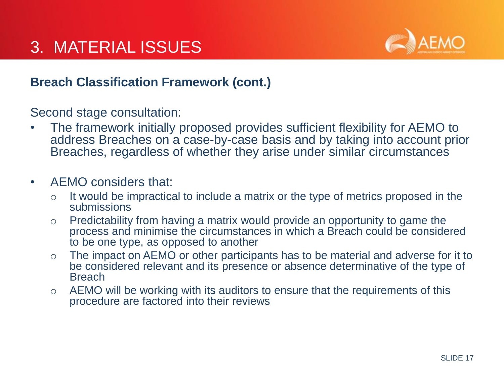

#### **Breach Classification Framework (cont.)**

Second stage consultation:

• The framework initially proposed provides sufficient flexibility for AEMO to address Breaches on a case-by-case basis and by taking into account prior Breaches, regardless of whether they arise under similar circumstances

#### • AEMO considers that:

- $\circ$  It would be impractical to include a matrix or the type of metrics proposed in the submissions
- o Predictability from having a matrix would provide an opportunity to game the process and minimise the circumstances in which a Breach could be considered to be one type, as opposed to another
- o The impact on AEMO or other participants has to be material and adverse for it to be considered relevant and its presence or absence determinative of the type of **Breach**
- $\circ$  AEMO will be working with its auditors to ensure that the requirements of this procedure are factored into their reviews